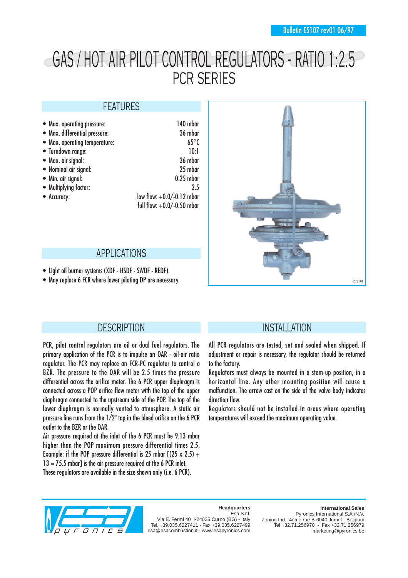# GAS / HOT AIR PILOT CONTROL REGULATORS - RATIO 1:2.5 PCR SERIES

#### FEATURES

| • Max. operating pressure:    | 140 mbar                     |
|-------------------------------|------------------------------|
| • Max. differential pressure: | 36 mbar                      |
| • Max. operating temperature: | $65^{\circ}$ C               |
| • Turndown range:             | 10:1                         |
| • Max. air signal:            | 36 mbar                      |
| • Nominal air signal:         | 25 mbar                      |
| • Min. air signal:            | $0.25$ mbar                  |
| • Multiplying factor:         | 25                           |
| • Accuracy:                   | low flow: $+0.0/-0.12$ mbar  |
|                               | full flow: $+0.0/-0.50$ mbar |

#### APPLICATIONS

- Light oil burner systems (XDF HSDF SWDF REDF).
- May replace 6 FCR where lower piloting DP are necessary.



#### **DESCRIPTION**

PCR, pilot control regulators are oil or dual fuel regulators. The primary application of the PCR is to impulse an OAR - oil-air ratio regulator. The PCR may replace an FCR-PC regulator to control a BZR. The pressure to the OAR will be 2.5 times the pressure differential across the orifice meter. The 6 PCR upper diaphragm is connected across a POP orifice flow meter with the top of the upper diaphragm connected to the upstream side of the POP. The top of the lower diaphragm is normally vented to atmosphere. A static air pressure line runs from the 1/2" tap in the bleed orifice on the 6 PCR outlet to the BZR or the OAR.

Air pressure required at the inlet of the 6 PCR must be 9.13 mbar higher than the POP maximum pressure differential times 2.5. Example: if the POP pressure differential is 25 mbar  $[(25 \times 2.5) +$  $13 = 75.5$  mbar1 is the air pressure required at the 6 PCR inlet. These regulators are available in the size shown only (i.e. 6 PCR).

### INSTALLATION

All PCR regulators are tested, set and sealed when shipped. If adjustment or repair is necessary, the regulator should be returned to the factory.

Regulators must always be mounted in a stem-up position, in a horizontal line. Any other mounting position will cause a malfunction. The arrow cast on the side of the valve body indicates direction flow.

Regulators should not be installed in areas where operating temperatures will exceed the maximum operating value.



#### **Headquarters** Esa S.r.l.

Via E. Fermi 40 I-24035 Curno (BG) - Italy Tel. +39.035.6227411 - Fax +39.035.6227499 esa@esacombustion.it - www.esapyronics.com

**International Sales** Pyronics International S.A./N.V. Zoning Ind., 4ème rue B-6040 Jumet - Belgium Tel +32.71.256970 - Fax +32.71.256979 marketing@pyronics.be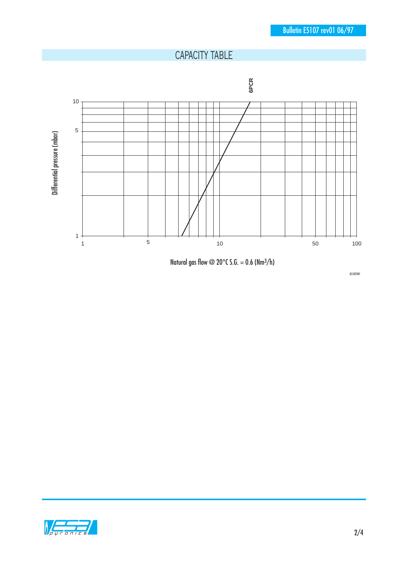# CAPACITY TABLE



Natural gas flow @ 20 $^{\circ}$ C S.G. = 0.6 (Nm $^{3}/h$ )

G5107I01

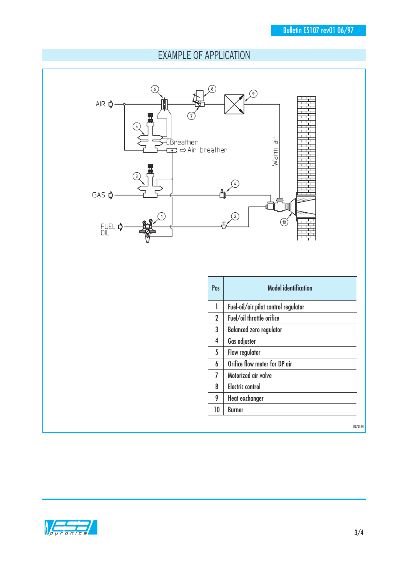## EXAMPLE OF APPLICATION